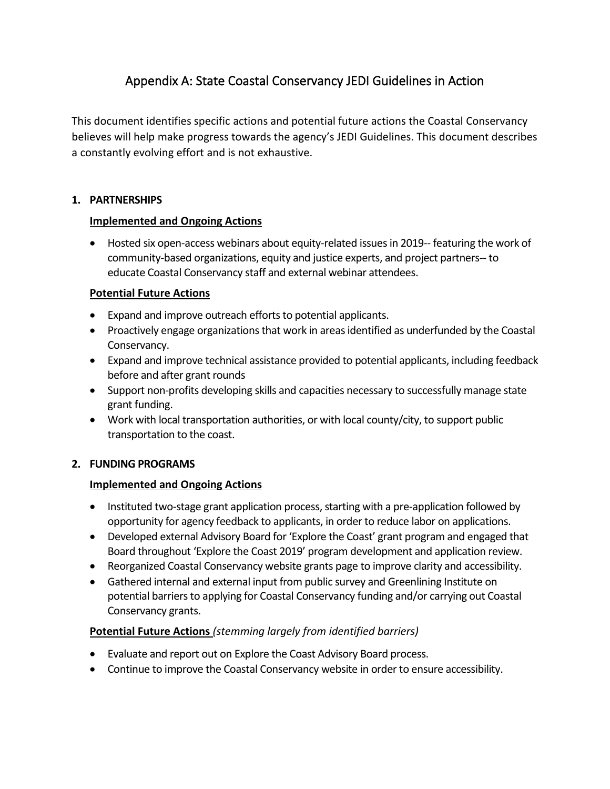# Appendix A: State Coastal Conservancy JEDI Guidelines in Action

This document identifies specific actions and potential future actions the Coastal Conservancy believes will help make progress towards the agency's JEDI Guidelines. This document describes a constantly evolving effort and is not exhaustive.

#### **1. PARTNERSHIPS**

## **Implemented and Ongoing Actions**

• Hosted six open-access webinars about equity-related issues in 2019-- featuring the work of community-based organizations, equity and justice experts, and project partners-- to educate Coastal Conservancy staff and external webinar attendees.

## **Potential Future Actions**

- Expand and improve outreach efforts to potential applicants.
- Proactively engage organizations that work in areas identified as underfunded by the Coastal Conservancy.
- Expand and improve technical assistance provided to potential applicants, including feedback before and after grant rounds
- Support non-profits developing skills and capacities necessary to successfully manage state grant funding.
- Work with local transportation authorities, or with local county/city, to support public transportation to the coast.

#### **2. FUNDING PROGRAMS**

# **Implemented and Ongoing Actions**

- Instituted two-stage grant application process, starting with a pre-application followed by opportunity for agency feedback to applicants, in order to reduce labor on applications.
- Developed external Advisory Board for 'Explore the Coast' grant program and engaged that Board throughout 'Explore the Coast 2019' program development and application review.
- Reorganized Coastal Conservancy website grants page to improve clarity and accessibility.
- Gathered internal and external input from public survey and Greenlining Institute on potential barriers to applying for Coastal Conservancy funding and/or carrying out Coastal Conservancy grants.

# **Potential Future Actions** *(stemming largely from identified barriers)*

- Evaluate and report out on Explore the Coast Advisory Board process.
- Continue to improve the Coastal Conservancy website in order to ensure accessibility.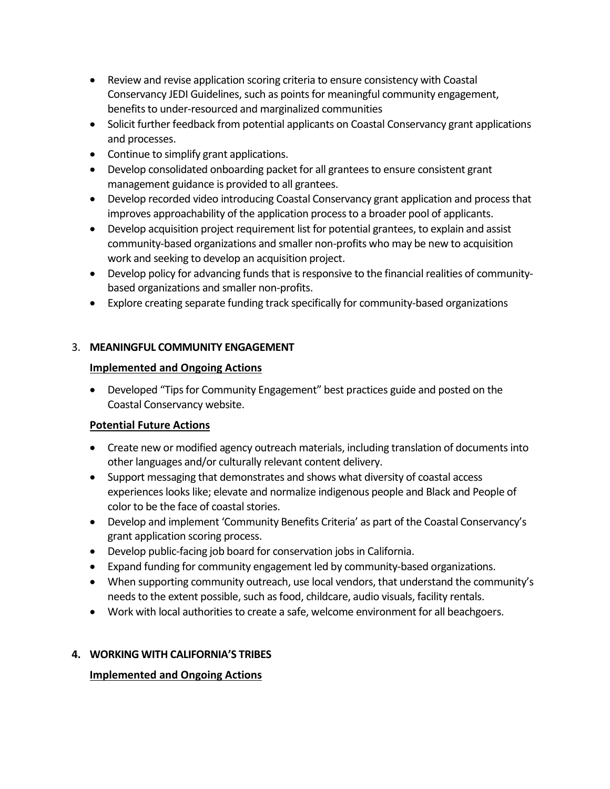- Review and revise application scoring criteria to ensure consistency with Coastal Conservancy JEDI Guidelines, such as points for meaningful community engagement, benefits to under-resourced and marginalized communities
- Solicit further feedback from potential applicants on Coastal Conservancy grant applications and processes.
- Continue to simplify grant applications.
- Develop consolidated onboarding packet for all grantees to ensure consistent grant management guidance is provided to all grantees.
- Develop recorded video introducing Coastal Conservancy grant application and process that improves approachability of the application processto a broader pool of applicants.
- Develop acquisition project requirement list for potential grantees, to explain and assist community-based organizations and smaller non-profits who may be new to acquisition work and seeking to develop an acquisition project.
- Develop policy for advancing funds that is responsive to the financial realities of communitybased organizations and smaller non-profits.
- Explore creating separate funding track specifically for community-based organizations

## 3. **MEANINGFUL COMMUNITY ENGAGEMENT**

## **Implemented and Ongoing Actions**

• Developed "Tips for Community Engagement" best practices guide and posted on the Coastal Conservancy website.

# **Potential Future Actions**

- Create new or modified agency outreach materials, including translation of documents into other languages and/or culturally relevant content delivery.
- Support messaging that demonstrates and shows what diversity of coastal access experiences lookslike; elevate and normalize indigenous people and Black and People of color to be the face of coastal stories.
- Develop and implement 'Community Benefits Criteria' as part of the Coastal Conservancy's grant application scoring process.
- Develop public-facing job board for conservation jobs in California.
- Expand funding for community engagement led by community-based organizations.
- When supporting community outreach, use local vendors, that understand the community's needs to the extent possible, such as food, childcare, audio visuals, facility rentals.
- Work with local authorities to create a safe, welcome environment for all beachgoers.

#### **4. WORKING WITH CALIFORNIA'S TRIBES**

# **Implemented and Ongoing Actions**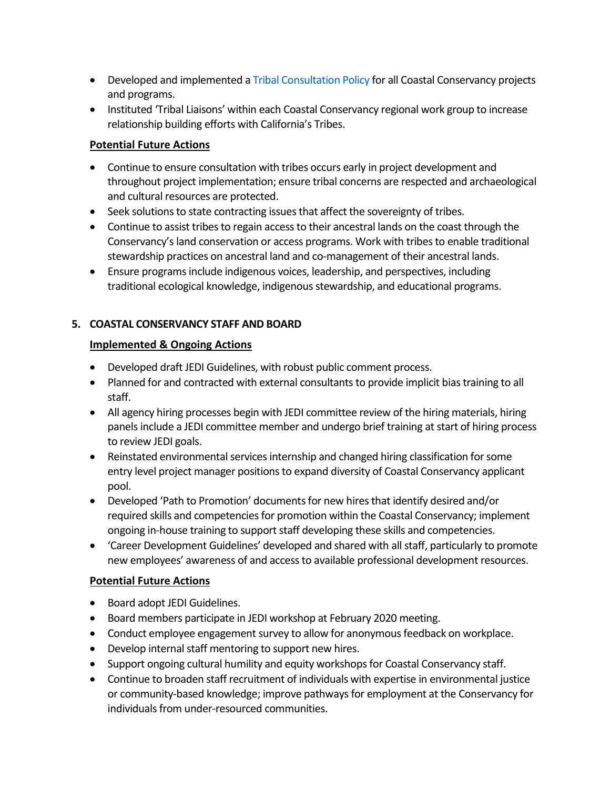- Developed and implemented a [Tribal Consultation Policy](https://scc.ca.gov/2019/10/30/tribalpolicy/) for all Coastal Conservancy projects and programs.
- Instituted 'Tribal Liaisons' within each Coastal Conservancy regional work group to increase relationship building efforts with California's Tribes.

#### **Potential Future Actions**

- Continue to ensure consultation with tribes occurs early in project development and throughout project implementation; ensure tribal concerns are respected and archaeological and cultural resources are protected.
- Seek solutions to state contracting issues that affect the sovereignty of tribes.
- Continue to assist tribes to regain access to their ancestral lands on the coast through the Conservancy's land conservation or access programs. Work with tribes to enable traditional stewardship practices on ancestral land and co-management of their ancestral lands.
- Ensure programs include indigenous voices, leadership, and perspectives, including traditional ecological knowledge, indigenousstewardship, and educational programs.

## **5. COASTAL CONSERVANCY STAFF AND BOARD**

## **Implemented & Ongoing Actions**

- Developed draft JEDI Guidelines, with robust public comment process.
- Planned for and contracted with external consultants to provide implicit bias training to all staff.
- All agency hiring processes begin with JEDI committee review of the hiring materials, hiring panels include a JEDI committee member and undergo brief training at start of hiring process to review JEDI goals.
- Reinstated environmental services internship and changed hiring classification for some entry level project manager positions to expand diversity of Coastal Conservancy applicant pool.
- Developed 'Path to Promotion' documents for new hires that identify desired and/or required skills and competencies for promotion within the Coastal Conservancy; implement ongoing in-house training to support staff developing these skills and competencies.
- 'Career Development Guidelines' developed and shared with all staff, particularly to promote new employees' awareness of and access to available professional development resources.

# **Potential Future Actions**

- Board adopt JEDI Guidelines.
- Board members participate in JEDI workshop at February 2020 meeting.
- Conduct employee engagement survey to allow for anonymous feedback on workplace.
- Develop internal staff mentoring to support new hires.
- Support ongoing cultural humility and equity workshops for Coastal Conservancy staff.
- Continue to broaden staff recruitment of individuals with expertise in environmental justice or community-based knowledge; improve pathways for employment at the Conservancy for individuals from under-resourced communities.